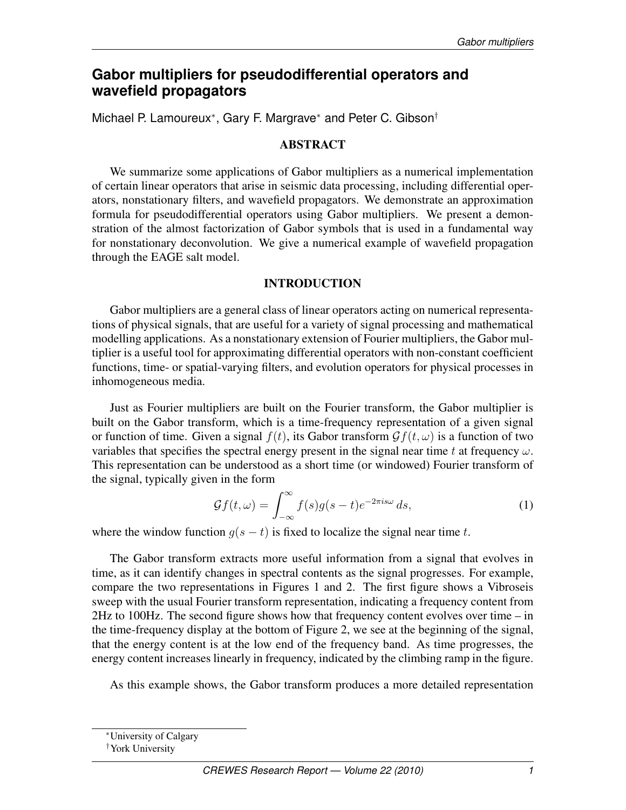# **Gabor multipliers for pseudodifferential operators and wavefield propagators**

Michael P. Lamoureux<sup>\*</sup>, Gary F. Margrave<sup>\*</sup> and Peter C. Gibson<sup>†</sup>

## ABSTRACT

We summarize some applications of Gabor multipliers as a numerical implementation of certain linear operators that arise in seismic data processing, including differential operators, nonstationary filters, and wavefield propagators. We demonstrate an approximation formula for pseudodifferential operators using Gabor multipliers. We present a demonstration of the almost factorization of Gabor symbols that is used in a fundamental way for nonstationary deconvolution. We give a numerical example of wavefield propagation through the EAGE salt model.

## INTRODUCTION

Gabor multipliers are a general class of linear operators acting on numerical representations of physical signals, that are useful for a variety of signal processing and mathematical modelling applications. As a nonstationary extension of Fourier multipliers, the Gabor multiplier is a useful tool for approximating differential operators with non-constant coefficient functions, time- or spatial-varying filters, and evolution operators for physical processes in inhomogeneous media.

Just as Fourier multipliers are built on the Fourier transform, the Gabor multiplier is built on the Gabor transform, which is a time-frequency representation of a given signal or function of time. Given a signal  $f(t)$ , its Gabor transform  $\mathcal{G}f(t,\omega)$  is a function of two variables that specifies the spectral energy present in the signal near time t at frequency  $\omega$ . This representation can be understood as a short time (or windowed) Fourier transform of the signal, typically given in the form

$$
\mathcal{G}f(t,\omega) = \int_{-\infty}^{\infty} f(s)g(s-t)e^{-2\pi i s\omega} ds,
$$
\n(1)

where the window function  $g(s - t)$  is fixed to localize the signal near time t.

The Gabor transform extracts more useful information from a signal that evolves in time, as it can identify changes in spectral contents as the signal progresses. For example, compare the two representations in Figures 1 and 2. The first figure shows a Vibroseis sweep with the usual Fourier transform representation, indicating a frequency content from 2Hz to 100Hz. The second figure shows how that frequency content evolves over time – in the time-frequency display at the bottom of Figure 2, we see at the beginning of the signal, that the energy content is at the low end of the frequency band. As time progresses, the energy content increases linearly in frequency, indicated by the climbing ramp in the figure.

As this example shows, the Gabor transform produces a more detailed representation

<sup>∗</sup>University of Calgary

<sup>†</sup>York University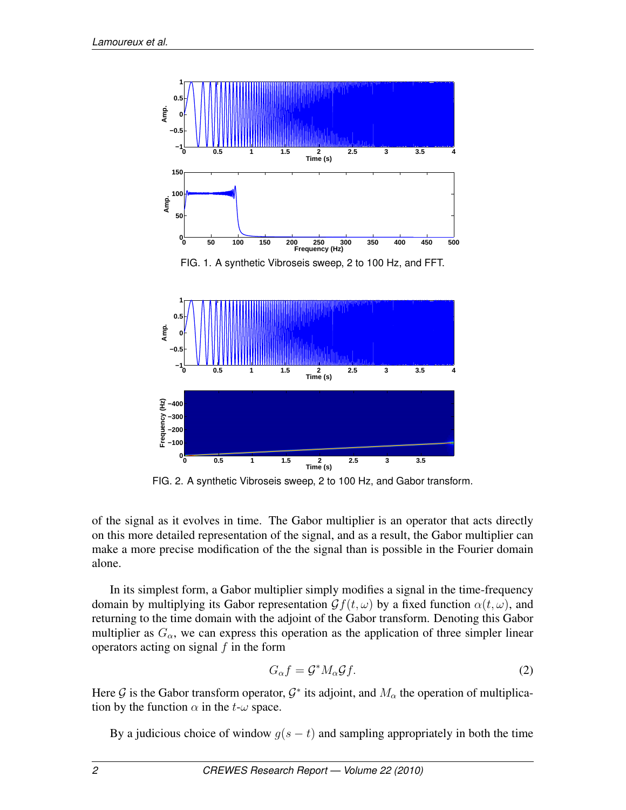

FIG. 2. A synthetic Vibroseis sweep, 2 to 100 Hz, and Gabor transform.

of the signal as it evolves in time. The Gabor multiplier is an operator that acts directly on this more detailed representation of the signal, and as a result, the Gabor multiplier can make a more precise modification of the the signal than is possible in the Fourier domain alone.

In its simplest form, a Gabor multiplier simply modifies a signal in the time-frequency domain by multiplying its Gabor representation  $\mathcal{G}f(t,\omega)$  by a fixed function  $\alpha(t,\omega)$ , and returning to the time domain with the adjoint of the Gabor transform. Denoting this Gabor multiplier as  $G_{\alpha}$ , we can express this operation as the application of three simpler linear operators acting on signal  $f$  in the form

$$
G_{\alpha}f = \mathcal{G}^* M_{\alpha} \mathcal{G}f. \tag{2}
$$

Here G is the Gabor transform operator,  $\mathcal{G}^*$  its adjoint, and  $M_\alpha$  the operation of multiplication by the function  $\alpha$  in the t- $\omega$  space.

By a judicious choice of window  $g(s - t)$  and sampling appropriately in both the time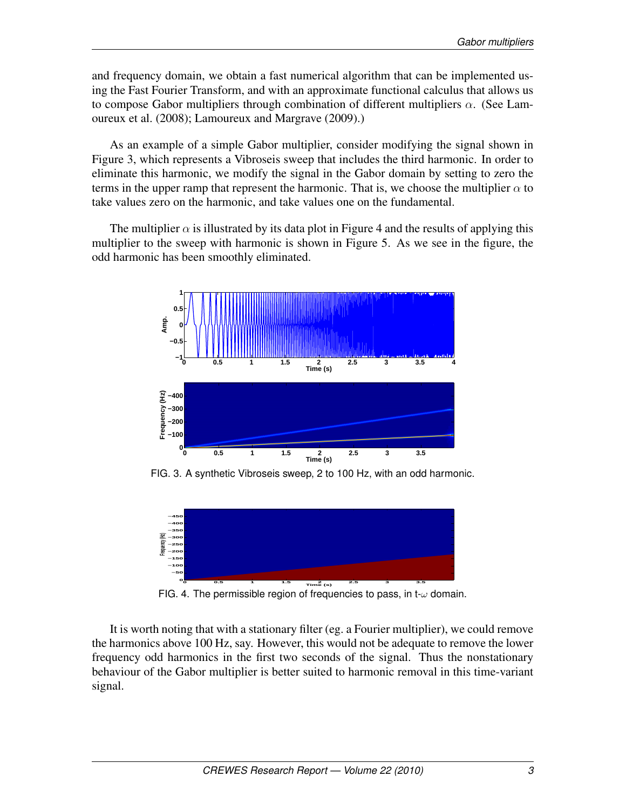and frequency domain, we obtain a fast numerical algorithm that can be implemented using the Fast Fourier Transform, and with an approximate functional calculus that allows us to compose Gabor multipliers through combination of different multipliers  $\alpha$ . (See Lamoureux et al. (2008); Lamoureux and Margrave (2009).)

As an example of a simple Gabor multiplier, consider modifying the signal shown in Figure 3, which represents a Vibroseis sweep that includes the third harmonic. In order to eliminate this harmonic, we modify the signal in the Gabor domain by setting to zero the terms in the upper ramp that represent the harmonic. That is, we choose the multiplier  $\alpha$  to take values zero on the harmonic, and take values one on the fundamental.

The multiplier  $\alpha$  is illustrated by its data plot in Figure 4 and the results of applying this multiplier to the sweep with harmonic is shown in Figure 5. As we see in the figure, the odd harmonic has been smoothly eliminated.



FIG. 3. A synthetic Vibroseis sweep, 2 to 100 Hz, with an odd harmonic.



FIG. 4. The permissible region of frequencies to pass, in t- $\omega$  domain.

It is worth noting that with a stationary filter (eg. a Fourier multiplier), we could remove the harmonics above 100 Hz, say. However, this would not be adequate to remove the lower frequency odd harmonics in the first two seconds of the signal. Thus the nonstationary behaviour of the Gabor multiplier is better suited to harmonic removal in this time-variant signal.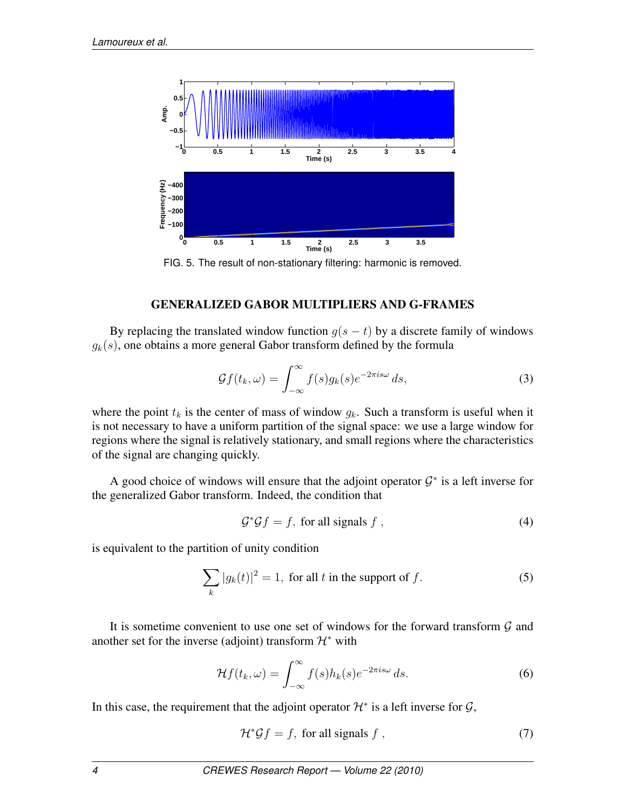

FIG. 5. The result of non-stationary filtering: harmonic is removed.

# GENERALIZED GABOR MULTIPLIERS AND G-FRAMES

By replacing the translated window function  $g(s - t)$  by a discrete family of windows  $q_k(s)$ , one obtains a more general Gabor transform defined by the formula

$$
\mathcal{G}f(t_k,\omega) = \int_{-\infty}^{\infty} f(s)g_k(s)e^{-2\pi i s\omega} ds,
$$
\n(3)

where the point  $t_k$  is the center of mass of window  $g_k$ . Such a transform is useful when it is not necessary to have a uniform partition of the signal space: we use a large window for regions where the signal is relatively stationary, and small regions where the characteristics of the signal are changing quickly.

A good choice of windows will ensure that the adjoint operator  $G^*$  is a left inverse for the generalized Gabor transform. Indeed, the condition that

$$
\mathcal{G}^*\mathcal{G}f = f, \text{ for all signals } f \text{ ,}
$$
 (4)

is equivalent to the partition of unity condition

$$
\sum_{k} |g_k(t)|^2 = 1, \text{ for all } t \text{ in the support of } f. \tag{5}
$$

It is sometime convenient to use one set of windows for the forward transform  $G$  and another set for the inverse (adjoint) transform  $\mathcal{H}^*$  with

$$
\mathcal{H}f(t_k,\omega) = \int_{-\infty}^{\infty} f(s)h_k(s)e^{-2\pi i s\omega} ds.
$$
 (6)

In this case, the requirement that the adjoint operator  $\mathcal{H}^*$  is a left inverse for  $\mathcal{G}$ ,

$$
\mathcal{H}^* \mathcal{G} f = f, \text{ for all signals } f , \qquad (7)
$$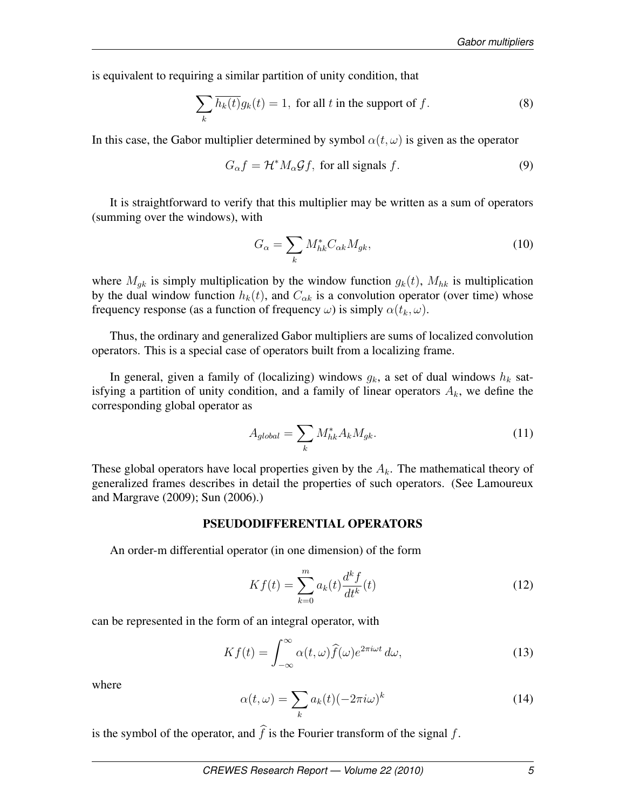is equivalent to requiring a similar partition of unity condition, that

$$
\sum_{k} \overline{h_k(t)} g_k(t) = 1, \text{ for all } t \text{ in the support of } f. \tag{8}
$$

In this case, the Gabor multiplier determined by symbol  $\alpha(t, \omega)$  is given as the operator

$$
G_{\alpha}f = \mathcal{H}^* M_{\alpha} \mathcal{G}f
$$
, for all signals f. (9)

It is straightforward to verify that this multiplier may be written as a sum of operators (summing over the windows), with

$$
G_{\alpha} = \sum_{k} M_{hk}^* C_{\alpha k} M_{gk},\tag{10}
$$

where  $M_{ak}$  is simply multiplication by the window function  $g_k(t)$ ,  $M_{hk}$  is multiplication by the dual window function  $h_k(t)$ , and  $C_{\alpha k}$  is a convolution operator (over time) whose frequency response (as a function of frequency  $\omega$ ) is simply  $\alpha(t_k, \omega)$ .

Thus, the ordinary and generalized Gabor multipliers are sums of localized convolution operators. This is a special case of operators built from a localizing frame.

In general, given a family of (localizing) windows  $g_k$ , a set of dual windows  $h_k$  satisfying a partition of unity condition, and a family of linear operators  $A_k$ , we define the corresponding global operator as

$$
A_{global} = \sum_{k} M_{hk}^{*} A_k M_{gk}.
$$
\n(11)

These global operators have local properties given by the  $A_k$ . The mathematical theory of generalized frames describes in detail the properties of such operators. (See Lamoureux and Margrave (2009); Sun (2006).)

#### PSEUDODIFFERENTIAL OPERATORS

An order-m differential operator (in one dimension) of the form

$$
Kf(t) = \sum_{k=0}^{m} a_k(t) \frac{d^k f}{dt^k}(t)
$$
 (12)

can be represented in the form of an integral operator, with

$$
Kf(t) = \int_{-\infty}^{\infty} \alpha(t,\omega) \hat{f}(\omega) e^{2\pi i \omega t} d\omega,
$$
\n(13)

where

$$
\alpha(t,\omega) = \sum_{k} a_k(t) (-2\pi i \omega)^k \tag{14}
$$

is the symbol of the operator, and  $\hat{f}$  is the Fourier transform of the signal  $f$ .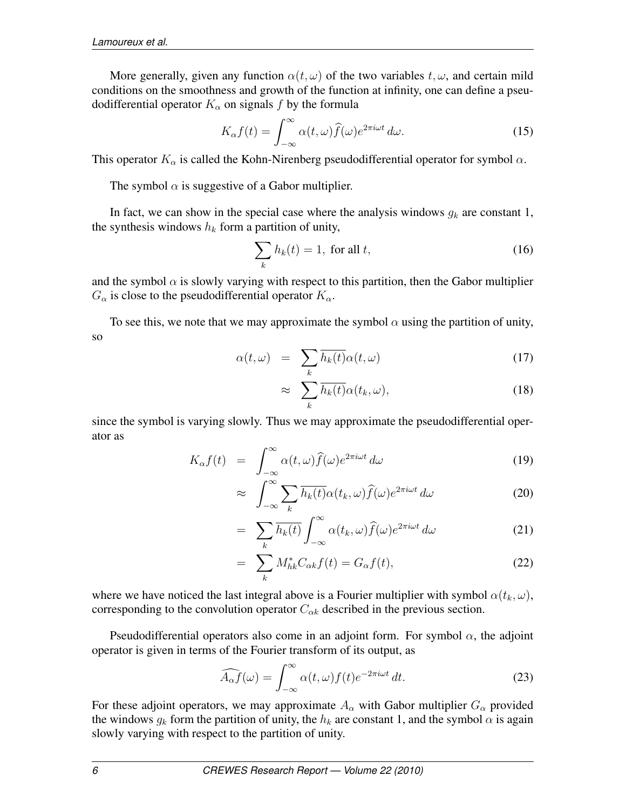More generally, given any function  $\alpha(t, \omega)$  of the two variables  $t, \omega$ , and certain mild conditions on the smoothness and growth of the function at infinity, one can define a pseudodifferential operator  $K_{\alpha}$  on signals f by the formula

$$
K_{\alpha}f(t) = \int_{-\infty}^{\infty} \alpha(t,\omega)\widehat{f}(\omega)e^{2\pi i\omega t} d\omega.
$$
 (15)

This operator  $K_{\alpha}$  is called the Kohn-Nirenberg pseudodifferential operator for symbol  $\alpha$ .

The symbol  $\alpha$  is suggestive of a Gabor multiplier.

In fact, we can show in the special case where the analysis windows  $g_k$  are constant 1, the synthesis windows  $h_k$  form a partition of unity,

$$
\sum_{k} h_k(t) = 1, \text{ for all } t,
$$
\n(16)

and the symbol  $\alpha$  is slowly varying with respect to this partition, then the Gabor multiplier  $G_{\alpha}$  is close to the pseudodifferential operator  $K_{\alpha}$ .

To see this, we note that we may approximate the symbol  $\alpha$  using the partition of unity, so

$$
\alpha(t,\omega) = \sum_{k} \overline{h_k(t)} \alpha(t,\omega) \tag{17}
$$

$$
\approx \sum_{k} \overline{h_k(t)} \alpha(t_k, \omega), \qquad (18)
$$

since the symbol is varying slowly. Thus we may approximate the pseudodifferential operator as

$$
K_{\alpha}f(t) = \int_{-\infty}^{\infty} \alpha(t,\omega)\widehat{f}(\omega)e^{2\pi i\omega t} d\omega \qquad (19)
$$

$$
\approx \int_{-\infty}^{\infty} \sum_{k} \overline{h_k(t)} \alpha(t_k, \omega) \widehat{f}(\omega) e^{2\pi i \omega t} d\omega \tag{20}
$$

$$
= \sum_{k} \overline{h_k(t)} \int_{-\infty}^{\infty} \alpha(t_k, \omega) \widehat{f}(\omega) e^{2\pi i \omega t} d\omega \tag{21}
$$

$$
= \sum_{k} M_{hk}^* C_{\alpha k} f(t) = G_{\alpha} f(t), \qquad (22)
$$

where we have noticed the last integral above is a Fourier multiplier with symbol  $\alpha(t_k, \omega)$ , corresponding to the convolution operator  $C_{\alpha k}$  described in the previous section.

Pseudodifferential operators also come in an adjoint form. For symbol  $\alpha$ , the adjoint operator is given in terms of the Fourier transform of its output, as

$$
\widehat{A_{\alpha}f}(\omega) = \int_{-\infty}^{\infty} \alpha(t,\omega) f(t) e^{-2\pi i \omega t} dt.
$$
 (23)

For these adjoint operators, we may approximate  $A_{\alpha}$  with Gabor multiplier  $G_{\alpha}$  provided the windows  $g_k$  form the partition of unity, the  $h_k$  are constant 1, and the symbol  $\alpha$  is again slowly varying with respect to the partition of unity.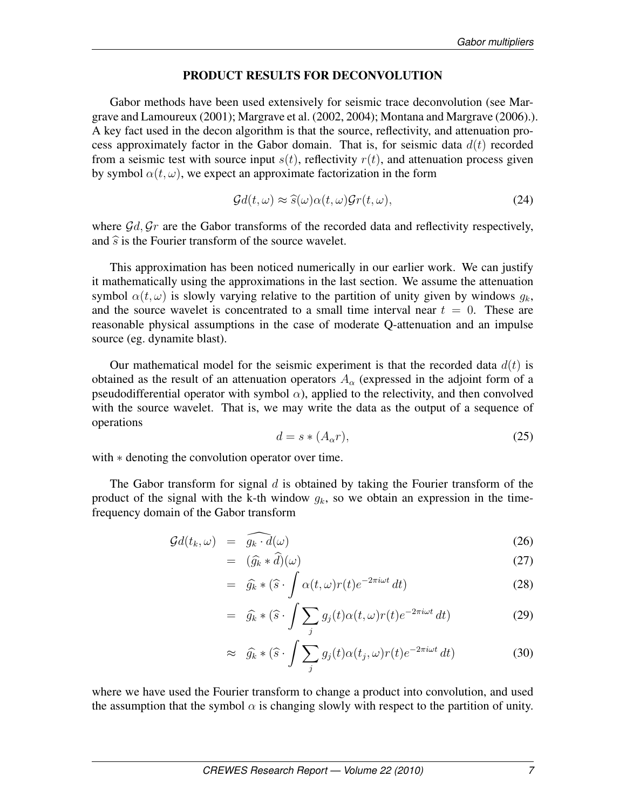#### PRODUCT RESULTS FOR DECONVOLUTION

Gabor methods have been used extensively for seismic trace deconvolution (see Margrave and Lamoureux (2001); Margrave et al. (2002, 2004); Montana and Margrave (2006).). A key fact used in the decon algorithm is that the source, reflectivity, and attenuation process approximately factor in the Gabor domain. That is, for seismic data  $d(t)$  recorded from a seismic test with source input  $s(t)$ , reflectivity  $r(t)$ , and attenuation process given by symbol  $\alpha(t, \omega)$ , we expect an approximate factorization in the form

$$
\mathcal{G}d(t,\omega) \approx \widehat{s}(\omega)\alpha(t,\omega)\mathcal{G}r(t,\omega),\tag{24}
$$

where  $\mathcal{G}d$ ,  $\mathcal{G}r$  are the Gabor transforms of the recorded data and reflectivity respectively, and  $\hat{s}$  is the Fourier transform of the source wavelet.

This approximation has been noticed numerically in our earlier work. We can justify it mathematically using the approximations in the last section. We assume the attenuation symbol  $\alpha(t, \omega)$  is slowly varying relative to the partition of unity given by windows  $q_k$ , and the source wavelet is concentrated to a small time interval near  $t = 0$ . These are reasonable physical assumptions in the case of moderate Q-attenuation and an impulse source (eg. dynamite blast).

Our mathematical model for the seismic experiment is that the recorded data  $d(t)$  is obtained as the result of an attenuation operators  $A_{\alpha}$  (expressed in the adjoint form of a pseudodifferential operator with symbol  $\alpha$ ), applied to the relectivity, and then convolved with the source wavelet. That is, we may write the data as the output of a sequence of operations

$$
d = s * (A_{\alpha}r), \tag{25}
$$

with  $*$  denoting the convolution operator over time.

The Gabor transform for signal  $d$  is obtained by taking the Fourier transform of the product of the signal with the k-th window  $g_k$ , so we obtain an expression in the timefrequency domain of the Gabor transform

$$
\mathcal{G}d(t_k,\omega) = \widehat{g_k \cdot d}(\omega) \tag{26}
$$

$$
= \quad (\widehat{g_k} * \widehat{d})(\omega) \tag{27}
$$

$$
= \widehat{g_k} * (\widehat{s} \cdot \int \alpha(t,\omega)r(t)e^{-2\pi i \omega t} dt)
$$
\n(28)

$$
= \widehat{g_k} * (\widehat{s} \cdot \int \sum_j g_j(t) \alpha(t,\omega) r(t) e^{-2\pi i \omega t} dt)
$$
\n(29)

$$
\approx \widehat{g_k} * (\widehat{s} \cdot \int \sum_j g_j(t) \alpha(t_j, \omega) r(t) e^{-2\pi i \omega t} dt)
$$
\n(30)

where we have used the Fourier transform to change a product into convolution, and used the assumption that the symbol  $\alpha$  is changing slowly with respect to the partition of unity.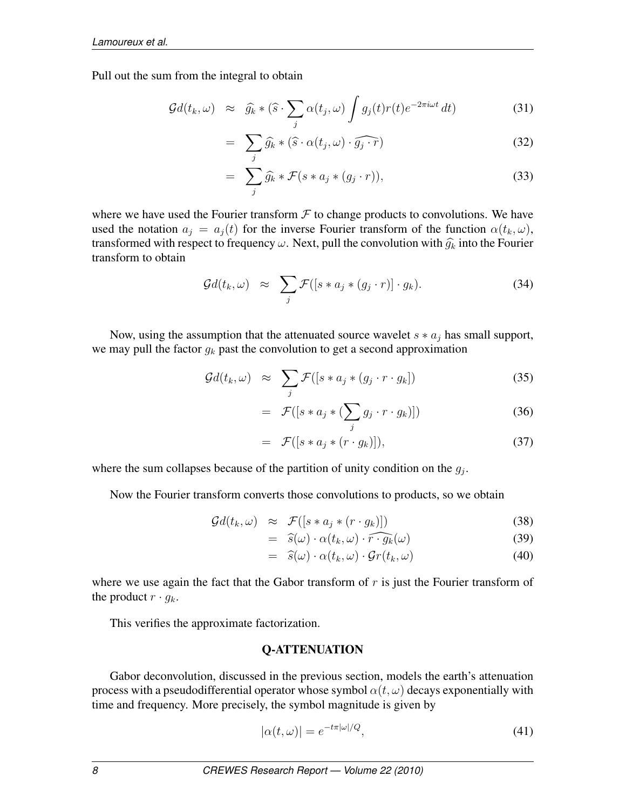Pull out the sum from the integral to obtain

$$
\mathcal{G}d(t_k,\omega) \approx \widehat{g_k} * (\widehat{s} \cdot \sum_j \alpha(t_j,\omega) \int g_j(t)r(t)e^{-2\pi i \omega t} dt)
$$
(31)

$$
= \sum_{j} \widehat{g_k} * (\widehat{s} \cdot \alpha(t_j, \omega) \cdot \widehat{g_j \cdot r}) \tag{32}
$$

$$
= \sum_{j} \widehat{g_k} * \mathcal{F}(s * a_j * (g_j \cdot r)), \tag{33}
$$

where we have used the Fourier transform  $\mathcal F$  to change products to convolutions. We have used the notation  $a_j = a_j(t)$  for the inverse Fourier transform of the function  $\alpha(t_k, \omega)$ , transformed with respect to frequency  $\omega$ . Next, pull the convolution with  $\widehat{g}_k$  into the Fourier transform to obtain

$$
\mathcal{G}d(t_k,\omega) \approx \sum_j \mathcal{F}([s*a_j*(g_j\cdot r)]\cdot g_k). \tag{34}
$$

Now, using the assumption that the attenuated source wavelet  $s * a_j$  has small support, we may pull the factor  $g_k$  past the convolution to get a second approximation

$$
\mathcal{G}d(t_k,\omega) \approx \sum_j \mathcal{F}([s*a_j*(g_j\cdot r\cdot g_k]) \qquad (35)
$$

$$
= \mathcal{F}([s*a_j*(\sum_j g_j \cdot r \cdot g_k)]) \tag{36}
$$

$$
= \mathcal{F}([s*a_j*(r\cdot g_k)]), \qquad (37)
$$

where the sum collapses because of the partition of unity condition on the  $g_j$ .

Now the Fourier transform converts those convolutions to products, so we obtain

$$
\mathcal{G}d(t_k,\omega) \approx \mathcal{F}([s*a_j*(r\cdot g_k)]) \tag{38}
$$

$$
= \hat{s}(\omega) \cdot \alpha(t_k, \omega) \cdot \widehat{r \cdot g_k}(\omega) \tag{39}
$$

$$
= \hat{s}(\omega) \cdot \alpha(t_k, \omega) \cdot \mathcal{G}r(t_k, \omega) \tag{40}
$$

where we use again the fact that the Gabor transform of  $r$  is just the Fourier transform of the product  $r \cdot g_k$ .

This verifies the approximate factorization.

## Q-ATTENUATION

Gabor deconvolution, discussed in the previous section, models the earth's attenuation process with a pseudodifferential operator whose symbol  $\alpha(t, \omega)$  decays exponentially with time and frequency. More precisely, the symbol magnitude is given by

$$
|\alpha(t,\omega)| = e^{-t\pi|\omega|/Q},\tag{41}
$$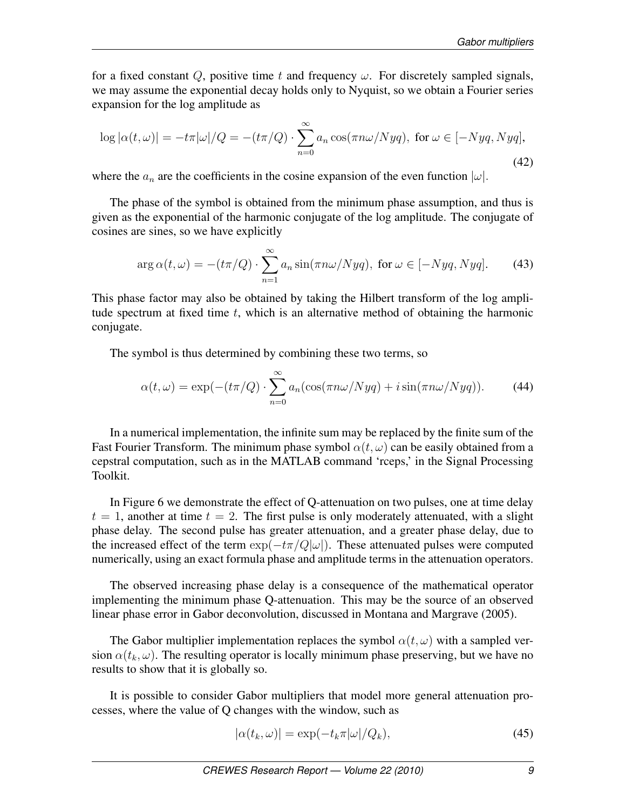for a fixed constant Q, positive time t and frequency  $\omega$ . For discretely sampled signals, we may assume the exponential decay holds only to Nyquist, so we obtain a Fourier series expansion for the log amplitude as

$$
\log |\alpha(t,\omega)| = -t\pi|\omega|/Q = -(t\pi/Q) \cdot \sum_{n=0}^{\infty} a_n \cos(\pi n\omega/Nyq), \text{ for } \omega \in [-Nyq, Nyq],
$$
\n(42)

where the  $a_n$  are the coefficients in the cosine expansion of the even function  $|\omega|$ .

The phase of the symbol is obtained from the minimum phase assumption, and thus is given as the exponential of the harmonic conjugate of the log amplitude. The conjugate of cosines are sines, so we have explicitly

$$
\arg \alpha(t,\omega) = -(t\pi/Q) \cdot \sum_{n=1}^{\infty} a_n \sin(\pi n\omega/Nyq), \text{ for } \omega \in [-Nyq, Nyq]. \tag{43}
$$

This phase factor may also be obtained by taking the Hilbert transform of the log amplitude spectrum at fixed time  $t$ , which is an alternative method of obtaining the harmonic conjugate.

The symbol is thus determined by combining these two terms, so

$$
\alpha(t,\omega) = \exp(-(t\pi/Q) \cdot \sum_{n=0}^{\infty} a_n (\cos(\pi n\omega/Nyq) + i\sin(\pi n\omega/Nyq)).
$$
 (44)

In a numerical implementation, the infinite sum may be replaced by the finite sum of the Fast Fourier Transform. The minimum phase symbol  $\alpha(t, \omega)$  can be easily obtained from a cepstral computation, such as in the MATLAB command 'rceps,' in the Signal Processing Toolkit.

In Figure 6 we demonstrate the effect of Q-attenuation on two pulses, one at time delay  $t = 1$ , another at time  $t = 2$ . The first pulse is only moderately attenuated, with a slight phase delay. The second pulse has greater attenuation, and a greater phase delay, due to the increased effect of the term  $\exp(-t\pi/Q|\omega|)$ . These attenuated pulses were computed numerically, using an exact formula phase and amplitude terms in the attenuation operators.

The observed increasing phase delay is a consequence of the mathematical operator implementing the minimum phase Q-attenuation. This may be the source of an observed linear phase error in Gabor deconvolution, discussed in Montana and Margrave (2005).

The Gabor multiplier implementation replaces the symbol  $\alpha(t, \omega)$  with a sampled version  $\alpha(t_k, \omega)$ . The resulting operator is locally minimum phase preserving, but we have no results to show that it is globally so.

It is possible to consider Gabor multipliers that model more general attenuation processes, where the value of Q changes with the window, such as

$$
|\alpha(t_k, \omega)| = \exp(-t_k \pi |\omega| / Q_k), \tag{45}
$$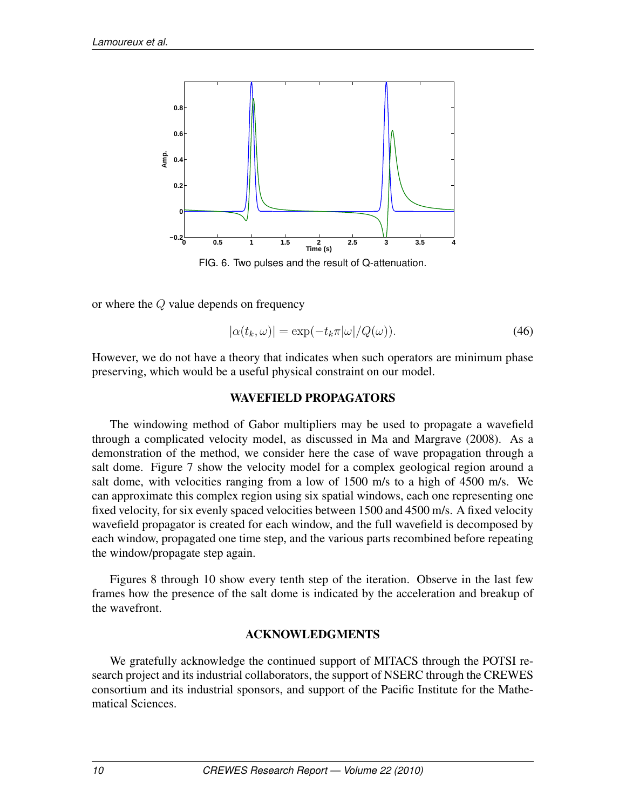

FIG. 6. Two pulses and the result of Q-attenuation.

or where the Q value depends on frequency

$$
|\alpha(t_k, \omega)| = \exp(-t_k \pi |\omega| / Q(\omega)).
$$
\n(46)

However, we do not have a theory that indicates when such operators are minimum phase preserving, which would be a useful physical constraint on our model.

## WAVEFIELD PROPAGATORS

The windowing method of Gabor multipliers may be used to propagate a wavefield through a complicated velocity model, as discussed in Ma and Margrave (2008). As a demonstration of the method, we consider here the case of wave propagation through a salt dome. Figure 7 show the velocity model for a complex geological region around a salt dome, with velocities ranging from a low of 1500 m/s to a high of 4500 m/s. We can approximate this complex region using six spatial windows, each one representing one fixed velocity, for six evenly spaced velocities between 1500 and 4500 m/s. A fixed velocity wavefield propagator is created for each window, and the full wavefield is decomposed by each window, propagated one time step, and the various parts recombined before repeating the window/propagate step again.

Figures 8 through 10 show every tenth step of the iteration. Observe in the last few frames how the presence of the salt dome is indicated by the acceleration and breakup of the wavefront.

# ACKNOWLEDGMENTS

We gratefully acknowledge the continued support of MITACS through the POTSI research project and its industrial collaborators, the support of NSERC through the CREWES consortium and its industrial sponsors, and support of the Pacific Institute for the Mathematical Sciences.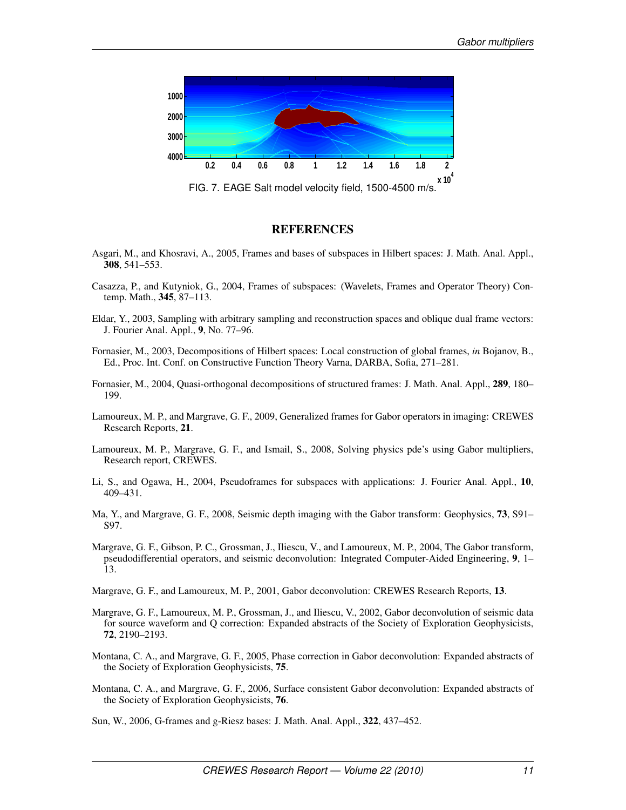

FIG. 7. EAGE Salt model velocity field, 1500-4500 m/s.

#### **REFERENCES**

- Asgari, M., and Khosravi, A., 2005, Frames and bases of subspaces in Hilbert spaces: J. Math. Anal. Appl., 308, 541–553.
- Casazza, P., and Kutyniok, G., 2004, Frames of subspaces: (Wavelets, Frames and Operator Theory) Contemp. Math., 345, 87–113.
- Eldar, Y., 2003, Sampling with arbitrary sampling and reconstruction spaces and oblique dual frame vectors: J. Fourier Anal. Appl., 9, No. 77–96.
- Fornasier, M., 2003, Decompositions of Hilbert spaces: Local construction of global frames, *in* Bojanov, B., Ed., Proc. Int. Conf. on Constructive Function Theory Varna, DARBA, Sofia, 271–281.
- Fornasier, M., 2004, Quasi-orthogonal decompositions of structured frames: J. Math. Anal. Appl., 289, 180– 199.
- Lamoureux, M. P., and Margrave, G. F., 2009, Generalized frames for Gabor operators in imaging: CREWES Research Reports, 21.
- Lamoureux, M. P., Margrave, G. F., and Ismail, S., 2008, Solving physics pde's using Gabor multipliers, Research report, CREWES.
- Li, S., and Ogawa, H., 2004, Pseudoframes for subspaces with applications: J. Fourier Anal. Appl., 10, 409–431.
- Ma, Y., and Margrave, G. F., 2008, Seismic depth imaging with the Gabor transform: Geophysics, 73, S91– S97.
- Margrave, G. F., Gibson, P. C., Grossman, J., Iliescu, V., and Lamoureux, M. P., 2004, The Gabor transform, pseudodifferential operators, and seismic deconvolution: Integrated Computer-Aided Engineering, 9, 1– 13.
- Margrave, G. F., and Lamoureux, M. P., 2001, Gabor deconvolution: CREWES Research Reports, 13.
- Margrave, G. F., Lamoureux, M. P., Grossman, J., and Iliescu, V., 2002, Gabor deconvolution of seismic data for source waveform and Q correction: Expanded abstracts of the Society of Exploration Geophysicists, 72, 2190–2193.
- Montana, C. A., and Margrave, G. F., 2005, Phase correction in Gabor deconvolution: Expanded abstracts of the Society of Exploration Geophysicists, 75.
- Montana, C. A., and Margrave, G. F., 2006, Surface consistent Gabor deconvolution: Expanded abstracts of the Society of Exploration Geophysicists, 76.

Sun, W., 2006, G-frames and g-Riesz bases: J. Math. Anal. Appl., 322, 437–452.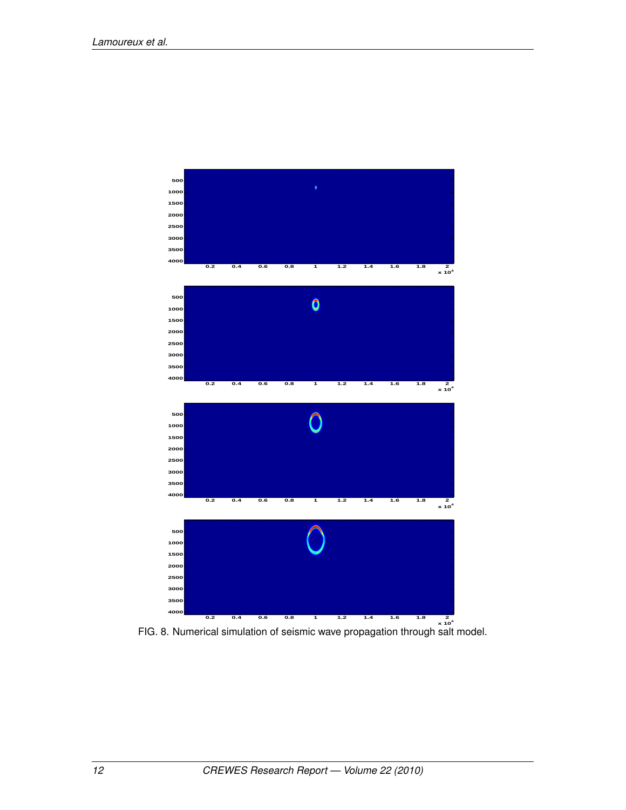

FIG. 8. Numerical simulation of seismic wave propagation through salt model.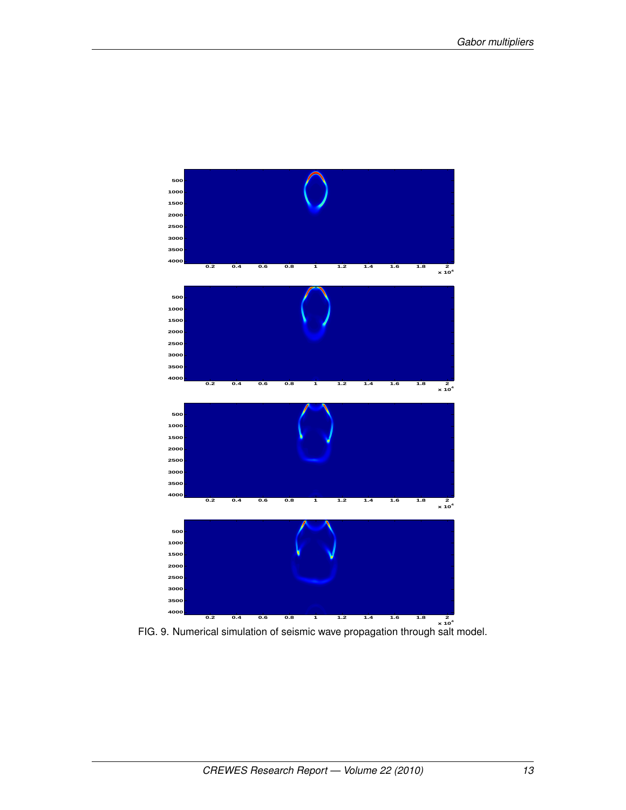

FIG. 9. Numerical simulation of seismic wave propagation through salt model.